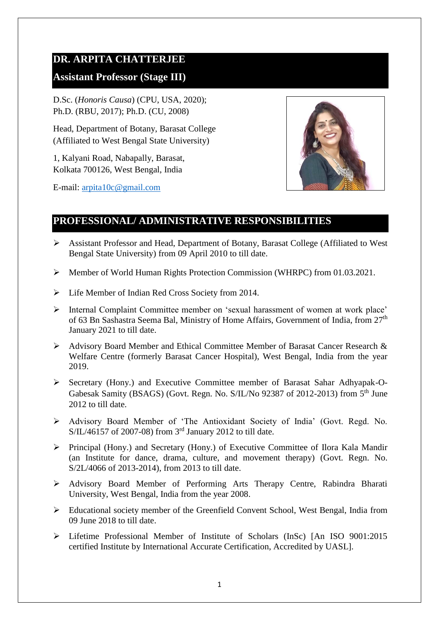# **DR. ARPITA CHATTERJEE**

## **Assistant Professor (Stage III)**

D.Sc. (*Honoris Causa*) (CPU, USA, 2020); Ph.D. (RBU, 2017); Ph.D. (CU, 2008)

Head, Department of Botany, Barasat College (Affiliated to West Bengal State University)

1, Kalyani Road, Nabapally, Barasat, Kolkata 700126, West Bengal, India

E-mail: [arpita10c@gmail.com](mailto:arpita10c@gmail.com)



# **PROFESSIONAL/ ADMINISTRATIVE RESPONSIBILITIES**

- Assistant Professor and Head, Department of Botany, Barasat College (Affiliated to West Bengal State University) from 09 April 2010 to till date.
- $\triangleright$  Member of World Human Rights Protection Commission (WHRPC) from 01.03.2021.
- $\triangleright$  Life Member of Indian Red Cross Society from 2014.
- Internal Complaint Committee member on 'sexual harassment of women at work place' of 63 Bn Sashastra Seema Bal, Ministry of Home Affairs, Government of India, from 27<sup>th</sup> January 2021 to till date.
- Advisory Board Member and Ethical Committee Member of Barasat Cancer Research & Welfare Centre (formerly Barasat Cancer Hospital), West Bengal, India from the year 2019.
- Secretary (Hony.) and Executive Committee member of Barasat Sahar Adhyapak-O-Gabesak Samity (BSAGS) (Govt. Regn. No. S/IL/No 92387 of 2012-2013) from 5<sup>th</sup> June 2012 to till date.
- Advisory Board Member of 'The Antioxidant Society of India' (Govt. Regd. No. S/IL/46157 of 2007-08) from 3rd January 2012 to till date.
- Principal (Hony.) and Secretary (Hony.) of Executive Committee of Ilora Kala Mandir (an Institute for dance, drama, culture, and movement therapy) (Govt. Regn. No. S/2L/4066 of 2013-2014), from 2013 to till date.
- Advisory Board Member of Performing Arts Therapy Centre, Rabindra Bharati University, West Bengal, India from the year 2008.
- Educational society member of the Greenfield Convent School, West Bengal, India from 09 June 2018 to till date.
- Lifetime Professional Member of Institute of Scholars (InSc) [An ISO 9001:2015 certified Institute by International Accurate Certification, Accredited by UASL].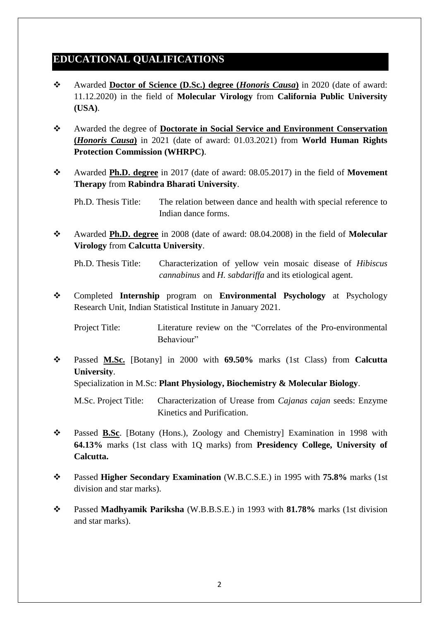# **EDUCATIONAL QUALIFICATIONS**

- Awarded **Doctor of Science (D.Sc.) degree (***Honoris Causa***)** in 2020 (date of award: 11.12.2020) in the field of **Molecular Virology** from **California Public University (USA)**.
- Awarded the degree of **Doctorate in Social Service and Environment Conservation (***Honoris Causa***)** in 2021 (date of award: 01.03.2021) from **World Human Rights Protection Commission (WHRPC)**.
- Awarded **Ph.D. degree** in 2017 (date of award: 08.05.2017) in the field of **Movement Therapy** from **Rabindra Bharati University**.

Ph.D. Thesis Title: The relation between dance and health with special reference to Indian dance forms.

 Awarded **Ph.D. degree** in 2008 (date of award: 08.04.2008) in the field of **Molecular Virology** from **Calcutta University**.

Ph.D. Thesis Title: Characterization of yellow vein mosaic disease of *Hibiscus cannabinus* and *H. sabdariffa* and its etiological agent.

 Completed **Internship** program on **Environmental Psychology** at Psychology Research Unit, Indian Statistical Institute in January 2021.

Project Title: Literature review on the "Correlates of the Pro-environmental Behaviour"

 Passed **M.Sc.** [Botany] in 2000 with **69.50%** marks (1st Class) from **Calcutta University**.

Specialization in M.Sc: **Plant Physiology, Biochemistry & Molecular Biology**.

M.Sc. Project Title: Characterization of Urease from *Cajanas cajan* seeds: Enzyme Kinetics and Purification.

- Passed **B.Sc**. [Botany (Hons.), Zoology and Chemistry] Examination in 1998 with **64.13%** marks (1st class with 1Q marks) from **Presidency College, University of Calcutta.**
- Passed **Higher Secondary Examination** (W.B.C.S.E.) in 1995 with **75.8%** marks (1st division and star marks).
- Passed **Madhyamik Pariksha** (W.B.B.S.E.) in 1993 with **81.78%** marks (1st division and star marks).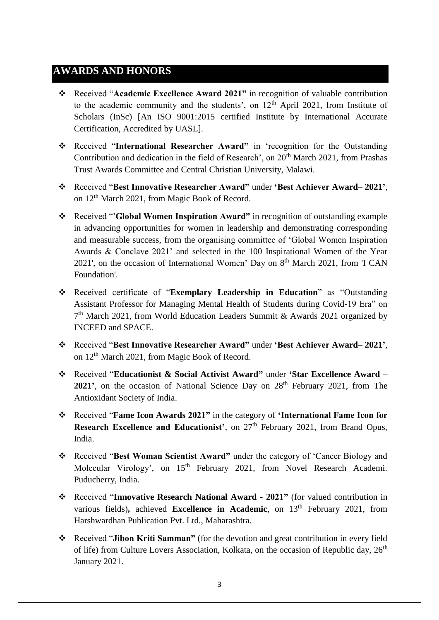# **AWARDS AND HONORS**

- Received "**Academic Excellence Award 2021"** in recognition of valuable contribution to the academic community and the students', on  $12<sup>th</sup>$  April 2021, from Institute of Scholars (InSc) [An ISO 9001:2015 certified Institute by International Accurate Certification, Accredited by UASL].
- Received "**International Researcher Award"** in 'recognition for the Outstanding Contribution and dedication in the field of Research', on  $20<sup>th</sup>$  March 2021, from Prashas Trust Awards Committee and Central Christian University, Malawi.
- Received "**Best Innovative Researcher Award"** under **'Best Achiever Award– 2021'**, on 12th March 2021, from Magic Book of Record.
- Received "**'Global Women Inspiration Award"** in recognition of outstanding example in advancing opportunities for women in leadership and demonstrating corresponding and measurable success, from the organising committee of 'Global Women Inspiration Awards & Conclave 2021' and selected in the 100 Inspirational Women of the Year 2021', on the occasion of International Women' Day on  $8<sup>th</sup>$  March 2021, from 'I CAN Foundation'.
- Received certificate of "**Exemplary Leadership in Education**" as "Outstanding Assistant Professor for Managing Mental Health of Students during Covid-19 Era" on 7<sup>th</sup> March 2021, from World Education Leaders Summit & Awards 2021 organized by INCEED and SPACE.
- Received "**Best Innovative Researcher Award"** under **'Best Achiever Award– 2021'**, on 12th March 2021, from Magic Book of Record.
- Received "**Educationist & Social Activist Award"** under **'Star Excellence Award – 2021'**, on the occasion of National Science Day on 28<sup>th</sup> February 2021, from The Antioxidant Society of India.
- Received "**Fame Icon Awards 2021"** in the category of **'International Fame Icon for Research Excellence and Educationist'**, on  $27<sup>th</sup>$  February 2021, from Brand Opus, India.
- Received "**Best Woman Scientist Award"** under the category of 'Cancer Biology and Molecular Virology', on 15<sup>th</sup> February 2021, from Novel Research Academi. Puducherry, India.
- Received "**Innovative Research National Award - 2021"** (for valued contribution in various fields), achieved **Excellence in Academic**, on 13<sup>th</sup> February 2021, from Harshwardhan Publication Pvt. Ltd., Maharashtra.
- Received "**Jibon Kriti Samman"** (for the devotion and great contribution in every field of life) from Culture Lovers Association, Kolkata, on the occasion of Republic day, 26<sup>th</sup> January 2021.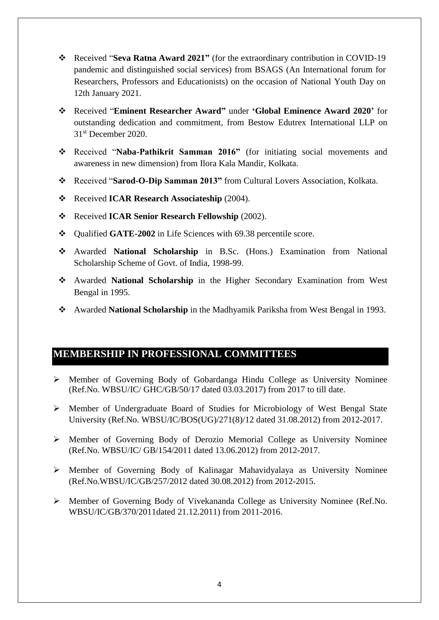- Received "**Seva Ratna Award 2021"** (for the extraordinary contribution in COVID-19 pandemic and distinguished social services) from BSAGS (An International forum for Researchers, Professors and Educationists) on the occasion of National Youth Day on 12th January 2021.
- Received "**Eminent Researcher Award"** under **'Global Eminence Award 2020'** for outstanding dedication and commitment, from Bestow Edutrex International LLP on 31st December 2020.
- Received "**Naba-Pathikrit Samman 2016"** (for initiating social movements and awareness in new dimension) from Ilora Kala Mandir, Kolkata.
- Received "**Sarod-O-Dip Samman 2013"** from Cultural Lovers Association, Kolkata.
- Received **ICAR Research Associateship** (2004).
- Received **ICAR Senior Research Fellowship** (2002).
- Qualified **GATE-2002** in Life Sciences with 69.38 percentile score.
- Awarded **National Scholarship** in B.Sc. (Hons.) Examination from National Scholarship Scheme of Govt. of India, 1998-99.
- Awarded **National Scholarship** in the Higher Secondary Examination from West Bengal in 1995.
- Awarded **National Scholarship** in the Madhyamik Pariksha from West Bengal in 1993.

# **MEMBERSHIP IN PROFESSIONAL COMMITTEES**

- Member of Governing Body of Gobardanga Hindu College as University Nominee (Ref.No. WBSU/IC/ GHC/GB/50/17 dated 03.03.2017) from 2017 to till date.
- Member of Undergraduate Board of Studies for Microbiology of West Bengal State University (Ref.No. WBSU/IC/BOS(UG)/271(8)/12 dated 31.08.2012) from 2012-2017.
- $\triangleright$  Member of Governing Body of Derozio Memorial College as University Nominee (Ref.No. WBSU/IC/ GB/154/2011 dated 13.06.2012) from 2012-2017.
- Member of Governing Body of Kalinagar Mahavidyalaya as University Nominee (Ref.No.WBSU/IC/GB/257/2012 dated 30.08.2012) from 2012-2015.
- Member of Governing Body of Vivekananda College as University Nominee (Ref.No. WBSU/IC/GB/370/2011dated 21.12.2011) from 2011-2016.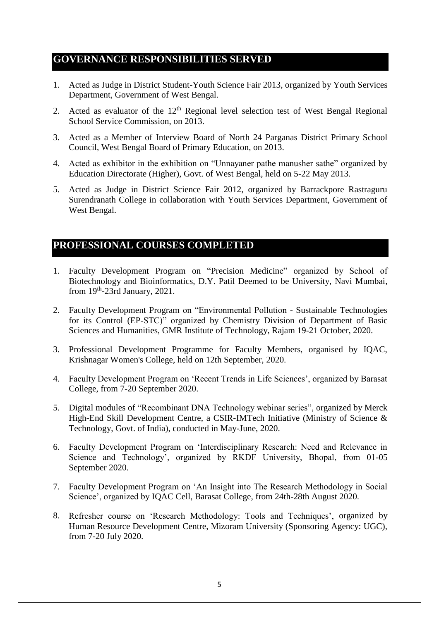## **GOVERNANCE RESPONSIBILITIES SERVED**

- 1. Acted as Judge in District Student-Youth Science Fair 2013, organized by Youth Services Department, Government of West Bengal.
- 2. Acted as evaluator of the  $12<sup>th</sup>$  Regional level selection test of West Bengal Regional School Service Commission, on 2013.
- 3. Acted as a Member of Interview Board of North 24 Parganas District Primary School Council, West Bengal Board of Primary Education, on 2013.
- 4. Acted as exhibitor in the exhibition on "Unnayaner pathe manusher sathe" organized by Education Directorate (Higher), Govt. of West Bengal, held on 5-22 May 2013.
- 5. Acted as Judge in District Science Fair 2012, organized by Barrackpore Rastraguru Surendranath College in collaboration with Youth Services Department, Government of West Bengal.

# **PROFESSIONAL COURSES COMPLETED**

- 1. Faculty Development Program on "Precision Medicine" organized by School of Biotechnology and Bioinformatics, D.Y. Patil Deemed to be University, Navi Mumbai, from  $19<sup>th</sup>$ -23rd January, 2021.
- 2. Faculty Development Program on "Environmental Pollution Sustainable Technologies for its Control (EP-STC)" organized by Chemistry Division of Department of Basic Sciences and Humanities, GMR Institute of Technology, Rajam 19-21 October, 2020.
- 3. Professional Development Programme for Faculty Members, organised by IQAC, Krishnagar Women's College, held on 12th September, 2020.
- 4. Faculty Development Program on 'Recent Trends in Life Sciences', organized by Barasat College, from 7-20 September 2020.
- 5. Digital modules of "Recombinant DNA Technology webinar series", organized by Merck High-End Skill Development Centre, a CSIR-IMTech Initiative (Ministry of Science & Technology, Govt. of India), conducted in May-June, 2020.
- 6. Faculty Development Program on 'Interdisciplinary Research: Need and Relevance in Science and Technology', organized by RKDF University, Bhopal, from 01-05 September 2020.
- 7. Faculty Development Program on 'An Insight into The Research Methodology in Social Science', organized by IQAC Cell, Barasat College, from 24th-28th August 2020.
- 8. Refresher course on 'Research Methodology: Tools and Techniques', organized by Human Resource Development Centre, Mizoram University (Sponsoring Agency: UGC), from 7-20 July 2020.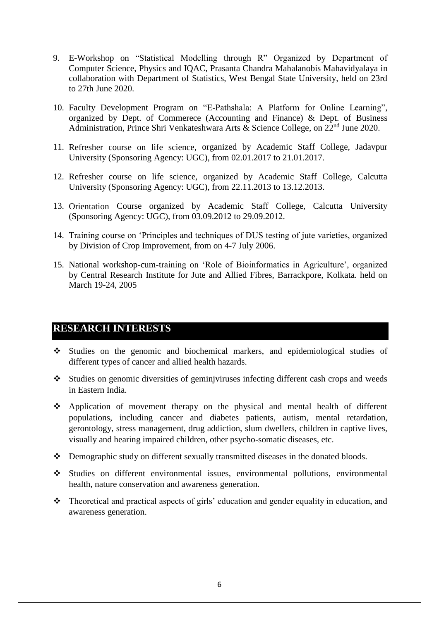- 9. E-Workshop on "Statistical Modelling through R" Organized by Department of Computer Science, Physics and IQAC, Prasanta Chandra Mahalanobis Mahavidyalaya in collaboration with Department of Statistics, West Bengal State University, held on 23rd to 27th June 2020.
- 10. Faculty Development Program on "E-Pathshala: A Platform for Online Learning", organized by Dept. of Commerece (Accounting and Finance) & Dept. of Business Administration, Prince Shri Venkateshwara Arts & Science College, on 22nd June 2020.
- 11. Refresher course on life science, organized by Academic Staff College, Jadavpur University (Sponsoring Agency: UGC), from 02.01.2017 to 21.01.2017.
- 12. Refresher course on life science, organized by Academic Staff College, Calcutta University (Sponsoring Agency: UGC), from 22.11.2013 to 13.12.2013.
- 13. Orientation Course organized by Academic Staff College, Calcutta University (Sponsoring Agency: UGC), from 03.09.2012 to 29.09.2012.
- 14. Training course on 'Principles and techniques of DUS testing of jute varieties, organized by Division of Crop Improvement, from on 4-7 July 2006.
- 15. National workshop-cum-training on 'Role of Bioinformatics in Agriculture', organized by Central Research Institute for Jute and Allied Fibres, Barrackpore, Kolkata. held on March 19-24, 2005

#### **RESEARCH INTERESTS**

- Studies on the genomic and biochemical markers, and epidemiological studies of different types of cancer and allied health hazards.
- Studies on genomic diversities of geminjviruses infecting different cash crops and weeds in Eastern India.
- Application of movement therapy on the physical and mental health of different populations, including cancer and diabetes patients, autism, mental retardation, gerontology, stress management, drug addiction, slum dwellers, children in captive lives, visually and hearing impaired children, other psycho-somatic diseases, etc.
- Demographic study on different sexually transmitted diseases in the donated bloods.
- Studies on different environmental issues, environmental pollutions, environmental health, nature conservation and awareness generation.
- Theoretical and practical aspects of girls' education and gender equality in education, and awareness generation.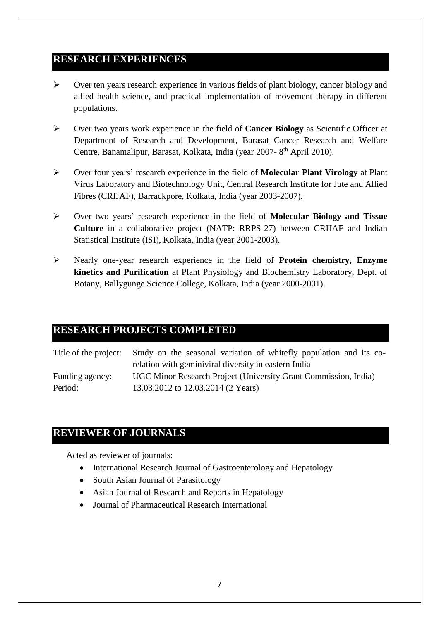### **RESEARCH EXPERIENCES**

- $\triangleright$  Over ten years research experience in various fields of plant biology, cancer biology and allied health science, and practical implementation of movement therapy in different populations.
- Over two years work experience in the field of **Cancer Biology** as Scientific Officer at Department of Research and Development, Barasat Cancer Research and Welfare Centre, Banamalipur, Barasat, Kolkata, India (year 2007-8<sup>th</sup> April 2010).
- Over four years' research experience in the field of **Molecular Plant Virology** at Plant Virus Laboratory and Biotechnology Unit, Central Research Institute for Jute and Allied Fibres (CRIJAF), Barrackpore, Kolkata, India (year 2003-2007).
- Over two years' research experience in the field of **Molecular Biology and Tissue Culture** in a collaborative project (NATP: RRPS-27) between CRIJAF and Indian Statistical Institute (ISI), Kolkata, India (year 2001-2003).
- Nearly one-year research experience in the field of **Protein chemistry, Enzyme kinetics and Purification** at Plant Physiology and Biochemistry Laboratory, Dept. of Botany, Ballygunge Science College, Kolkata, India (year 2000-2001).

### **RESEARCH PROJECTS COMPLETED**

Title of the project: Study on the seasonal variation of whitefly population and its corelation with geminiviral diversity in eastern India Funding agency: UGC Minor Research Project (University Grant Commission, India) Period: 13.03.2012 to 12.03.2014 (2 Years)

# **REVIEWER OF JOURNALS**

Acted as reviewer of journals:

- International Research Journal of Gastroenterology and Hepatology
- South Asian Journal of Parasitology
- Asian Journal of Research and Reports in Hepatology
- Journal of Pharmaceutical Research International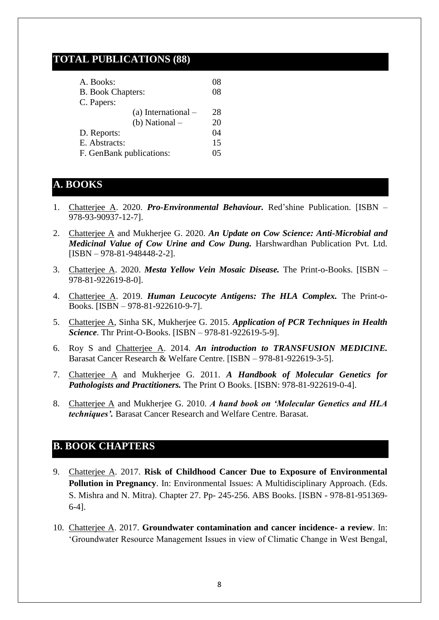## **TOTAL PUBLICATIONS (88)**

| A. Books:                | 08 |
|--------------------------|----|
| <b>B.</b> Book Chapters: | 08 |
| C. Papers:               |    |
| (a) International $-$    | 28 |
| (b) National $-$         | 20 |
| D. Reports:              | 04 |
| E. Abstracts:            | 15 |
| F. GenBank publications: | 05 |

## **A. BOOKS**

- 1. Chatterjee A. 2020. *Pro-Environmental Behaviour.* Red'shine Publication. [ISBN 978-93-90937-12-7].
- 2. Chatterjee A and Mukherjee G. 2020. *An Update on Cow Science: Anti-Microbial and Medicinal Value of Cow Urine and Cow Dung.* Harshwardhan Publication Pvt. Ltd. [ISBN – 978-81-948448-2-2].
- 3. Chatterjee A. 2020. *Mesta Yellow Vein Mosaic Disease.* The Print-o-Books. [ISBN 978-81-922619-8-0].
- 4. Chatterjee A. 2019. *Human Leucocyte Antigens: The HLA Complex.* The Print-o-Books. [ISBN – 978-81-922610-9-7].
- 5. Chatterjee A, Sinha SK, Mukherjee G. 2015. *Application of PCR Techniques in Health Science*. Thr Print-O-Books. [ISBN – 978-81-922619-5-9].
- 6. Roy S and Chatterjee A. 2014. *An introduction to TRANSFUSION MEDICINE.* Barasat Cancer Research & Welfare Centre. [ISBN – 978-81-922619-3-5].
- 7. Chatterjee A and Mukherjee G. 2011. *A Handbook of Molecular Genetics for Pathologists and Practitioners.* The Print O Books. [ISBN: 978-81-922619-0-4].
- 8. Chatterjee A and Mukherjee G. 2010. *A hand book on 'Molecular Genetics and HLA techniques'.* Barasat Cancer Research and Welfare Centre. Barasat.

## **B. BOOK CHAPTERS**

- 9. Chatterjee A. 2017. **Risk of Childhood Cancer Due to Exposure of Environmental Pollution in Pregnancy**. In: Environmental Issues: A Multidisciplinary Approach. (Eds. S. Mishra and N. Mitra). Chapter 27. Pp- 245-256. ABS Books. [ISBN - 978-81-951369- 6-4].
- 10. Chatterjee A. 2017. **Groundwater contamination and cancer incidence- a review**. In: 'Groundwater Resource Management Issues in view of Climatic Change in West Bengal,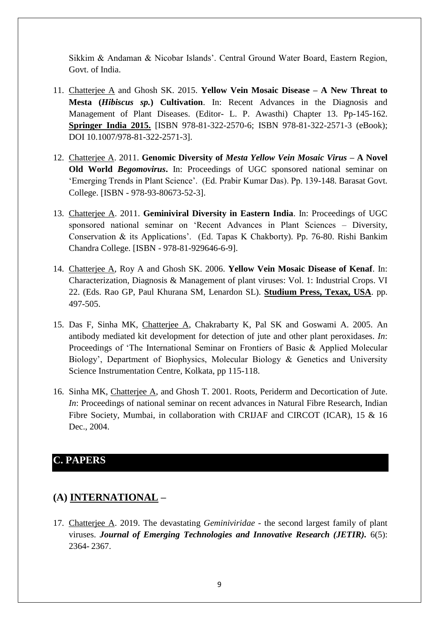Sikkim & Andaman & Nicobar Islands'. Central Ground Water Board, Eastern Region, Govt. of India.

- 11. Chatterjee A and Ghosh SK. 2015. **Yellow Vein Mosaic Disease – A New Threat to Mesta (***Hibiscus sp.***) Cultivation**. In: Recent Advances in the Diagnosis and Management of Plant Diseases. (Editor- L. P. Awasthi) Chapter 13. Pp-145-162. **Springer India 2015.** [ISBN 978-81-322-2570-6; ISBN 978-81-322-2571-3 (eBook); DOI 10.1007/978-81-322-2571-3].
- 12. Chatterjee A. 2011. **Genomic Diversity of** *Mesta Yellow Vein Mosaic Virus* **– A Novel Old World** *Begomovirus***.** In: Proceedings of UGC sponsored national seminar on 'Emerging Trends in Plant Science'. (Ed. Prabir Kumar Das). Pp. 139-148. Barasat Govt. College. [ISBN - 978-93-80673-52-3].
- 13. Chatterjee A. 2011. **Geminiviral Diversity in Eastern India**. In: Proceedings of UGC sponsored national seminar on 'Recent Advances in Plant Sciences – Diversity, Conservation & its Applications'. (Ed. Tapas K Chakborty). Pp. 76-80. Rishi Bankim Chandra College. [ISBN - 978-81-929646-6-9].
- 14. Chatterjee A, Roy A and Ghosh SK. 2006. **Yellow Vein Mosaic Disease of Kenaf**. In: Characterization, Diagnosis & Management of plant viruses: Vol. 1: Industrial Crops. VI 22. (Eds. Rao GP, Paul Khurana SM, Lenardon SL). **Studium Press, Texax, USA**. pp. 497-505.
- 15. Das F, Sinha MK, Chatterjee A, Chakrabarty K, Pal SK and Goswami A. 2005. An antibody mediated kit development for detection of jute and other plant peroxidases. *In*: Proceedings of 'The International Seminar on Frontiers of Basic & Applied Molecular Biology', Department of Biophysics, Molecular Biology & Genetics and University Science Instrumentation Centre, Kolkata, pp 115-118.
- 16. Sinha MK, Chatterjee A, and Ghosh T. 2001. Roots, Periderm and Decortication of Jute. *In*: Proceedings of national seminar on recent advances in Natural Fibre Research, Indian Fibre Society, Mumbai, in collaboration with CRIJAF and CIRCOT (ICAR), 15 & 16 Dec., 2004.

#### **C. PAPERS**

#### **(A) INTERNATIONAL –**

17. Chatterjee A. 2019. The devastating *Geminiviridae* - the second largest family of plant viruses. *Journal of Emerging Technologies and Innovative Research (JETIR).* 6(5): 2364- 2367.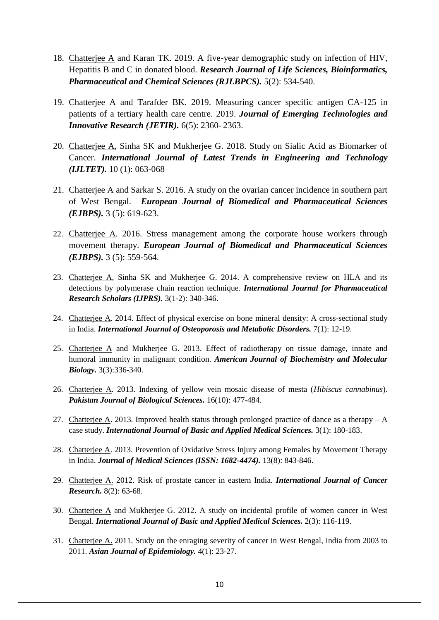- 18. Chatterjee A and Karan TK. 2019. A five-year demographic study on infection of HIV, Hepatitis B and C in donated blood. *Research Journal of Life Sciences, Bioinformatics, Pharmaceutical and Chemical Sciences (RJLBPCS).* 5(2): 534-540.
- 19. Chatterjee A and Tarafder BK. 2019. Measuring cancer specific antigen CA-125 in patients of a tertiary health care centre. 2019. *Journal of Emerging Technologies and Innovative Research (JETIR).* 6(5): 2360- 2363.
- 20. Chatterjee A, Sinha SK and Mukherjee G. 2018. Study on Sialic Acid as Biomarker of Cancer. *International Journal of Latest Trends in Engineering and Technology (IJLTET).* 10 (1): 063-068
- 21. Chatterjee A and Sarkar S. 2016. A study on the ovarian cancer incidence in southern part of West Bengal. *European Journal of Biomedical and Pharmaceutical Sciences (EJBPS).* 3 (5): 619-623.
- 22. Chatterjee A. 2016. Stress management among the corporate house workers through movement therapy. *European Journal of Biomedical and Pharmaceutical Sciences (EJBPS).* 3 (5): 559-564.
- 23. Chatterjee A, Sinha SK and Mukherjee G. 2014. A comprehensive review on HLA and its detections by polymerase chain reaction technique. *International Journal for Pharmaceutical Research Scholars (IJPRS).* 3(1-2): 340-346.
- 24. Chatterjee A. 2014. Effect of physical exercise on bone mineral density: A cross-sectional study in India. *International Journal of Osteoporosis and Metabolic Disorders.* 7(1): 12-19.
- 25. Chatterjee A and Mukherjee G. 2013. Effect of radiotherapy on tissue damage, innate and humoral immunity in malignant condition. *American Journal of Biochemistry and Molecular Biology.* 3(3):336-340.
- 26. Chatterjee A. 2013. Indexing of yellow vein mosaic disease of mesta (*Hibiscus cannabinus*). *Pakistan Journal of Biological Sciences.* 16(10): 477-484.
- 27. Chatterjee A. 2013. Improved health status through prolonged practice of dance as a therapy  $-A$ case study. *International Journal of Basic and Applied Medical Sciences.* 3(1): 180-183.
- 28. Chatterjee A. 2013. Prevention of Oxidative Stress Injury among Females by Movement Therapy in India. *Journal of Medical Sciences (ISSN: 1682-4474).* 13(8): 843-846.
- 29. Chatterjee A. 2012. Risk of prostate cancer in eastern India. *International Journal of Cancer Research.* 8(2): 63-68.
- 30. Chatterjee A and Mukherjee G. 2012. A study on incidental profile of women cancer in West Bengal. *International Journal of Basic and Applied Medical Sciences.* 2(3): 116-119.
- 31. Chatterjee A. 2011. Study on the enraging severity of cancer in West Bengal, India from 2003 to 2011. *Asian Journal of Epidemiology.* 4(1): 23-27.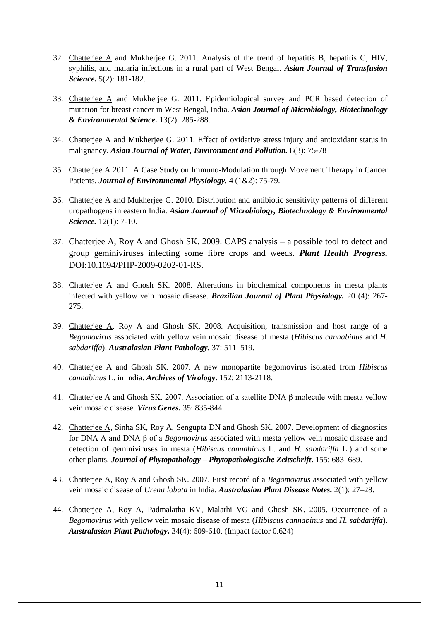- 32. Chatterjee A and Mukherjee G. 2011. Analysis of the trend of hepatitis B, hepatitis C, HIV, syphilis, and malaria infections in a rural part of West Bengal. *Asian Journal of Transfusion Science.* 5(2): 181-182.
- 33. Chatterjee A and Mukherjee G. 2011. Epidemiological survey and PCR based detection of mutation for breast cancer in West Bengal, India. *Asian Journal of Microbiology, Biotechnology & Environmental Science.* 13(2): 285-288.
- 34. Chatterjee A and Mukherjee G. 2011. Effect of oxidative stress injury and antioxidant status in malignancy. *Asian Journal of Water, Environment and Pollution.* 8(3): 75-78
- 35. Chatterjee A 2011. A Case Study on Immuno-Modulation through Movement Therapy in Cancer Patients. *Journal of Environmental Physiology.* 4 (1&2): 75-79.
- 36. Chatterjee A and Mukherjee G. 2010. Distribution and antibiotic sensitivity patterns of different uropathogens in eastern India. *Asian Journal of Microbiology, Biotechnology & Environmental Science.* 12(1): 7-10.
- 37. Chatterjee A, Roy A and Ghosh SK. 2009. CAPS analysis a possible tool to detect and group geminiviruses infecting some fibre crops and weeds. *Plant Health Progress.* DOI:10.1094/PHP-2009-0202-01-RS.
- 38. Chatterjee A and Ghosh SK. 2008. Alterations in biochemical components in mesta plants infected with yellow vein mosaic disease. *Brazilian Journal of Plant Physiology.* 20 (4): 267- 275.
- 39. Chatterjee A, Roy A and Ghosh SK. 2008. Acquisition, transmission and host range of a *Begomovirus* associated with yellow vein mosaic disease of mesta (*Hibiscus cannabinus* and *H. sabdariffa*). *Australasian Plant Pathology.* 37: 511–519.
- 40. Chatterjee A and Ghosh SK. 2007. A new monopartite begomovirus isolated from *Hibiscus cannabinus* L. in India. *Archives of Virology***.** 152: 2113-2118.
- 41. Chatterjee A and Ghosh SK. 2007. Association of a satellite DNA β molecule with mesta yellow vein mosaic disease. *Virus Genes***.** 35: 835-844.
- 42. Chatterjee A, Sinha SK, Roy A, Sengupta DN and Ghosh SK. 2007. Development of diagnostics for DNA A and DNA β of a *Begomovirus* associated with mesta yellow vein mosaic disease and detection of geminiviruses in mesta (*Hibiscus cannabinus* L. and *H. sabdariffa* L.) and some other plants. *Journal of Phytopathology – Phytopathologische Zeitschrift***.** 155: 683–689.
- 43. Chatterjee A, Roy A and Ghosh SK. 2007. First record of a *Begomovirus* associated with yellow vein mosaic disease of *Urena lobata* in India. *Australasian Plant Disease Notes.* 2(1): 27–28.
- 44. Chatterjee A, Roy A, Padmalatha KV, Malathi VG and Ghosh SK. 2005. Occurrence of a *Begomovirus* with yellow vein mosaic disease of mesta (*Hibiscus cannabinus* and *H. sabdariffa*). *Australasian Plant Pathology***.** 34(4): 609-610. (Impact factor 0.624)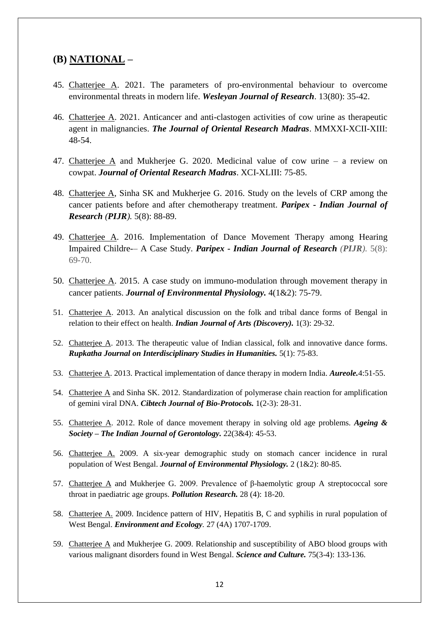#### **(B) NATIONAL –**

- 45. Chatterjee A. 2021. The parameters of pro-environmental behaviour to overcome environmental threats in modern life. *Wesleyan Journal of Research*. 13(80): 35-42.
- 46. Chatterjee A. 2021. Anticancer and anti-clastogen activities of cow urine as therapeutic agent in malignancies. *The Journal of Oriental Research Madras*. MMXXI-XCII-XIII: 48-54.
- 47. Chatterjee A and Mukherjee G. 2020. Medicinal value of cow urine a review on cowpat. *Journal of Oriental Research Madras*. XCI-XLIII: 75-85.
- 48. Chatterjee A, Sinha SK and Mukherjee G. 2016. Study on the levels of CRP among the cancer patients before and after chemotherapy treatment. *Paripex - Indian Journal of Research (PIJR).* 5(8): 88-89.
- 49. Chatterjee A. 2016. Implementation of Dance Movement Therapy among Hearing Impaired Childre-– A Case Study. *Paripex - Indian Journal of Research (PIJR).* 5(8): 69-70.
- 50. Chatterjee A. 2015. A case study on immuno-modulation through movement therapy in cancer patients. *Journal of Environmental Physiology.* 4(1&2): 75-79.
- 51. Chatterjee A. 2013. An analytical discussion on the folk and tribal dance forms of Bengal in relation to their effect on health. *Indian Journal of Arts (Discovery).* 1(3): 29-32.
- 52. Chatterjee A. 2013. The therapeutic value of Indian classical, folk and innovative dance forms. *Rupkatha Journal on Interdisciplinary Studies in Humanities.* 5(1): 75-83.
- 53. Chatterjee A. 2013. Practical implementation of dance therapy in modern India. *Aureole.*4:51-55.
- 54. Chatterjee A and Sinha SK. 2012. Standardization of polymerase chain reaction for amplification of gemini viral DNA. *Cibtech Journal of Bio-Protocols.* 1(2-3): 28-31.
- 55. Chatterjee A. 2012. Role of dance movement therapy in solving old age problems. *Ageing & Society – The Indian Journal of Gerontology.* 22(3&4): 45-53.
- 56. Chatterjee A. 2009. A six-year demographic study on stomach cancer incidence in rural population of West Bengal. *Journal of Environmental Physiology.* 2 (1&2): 80-85.
- 57. Chatterjee A and Mukherjee G. 2009. Prevalence of β-haemolytic group A streptococcal sore throat in paediatric age groups. *Pollution Research.* 28 (4): 18-20.
- 58. Chatterjee A. 2009. Incidence pattern of HIV, Hepatitis B, C and syphilis in rural population of West Bengal. *Environment and Ecology.* 27 (4A) 1707-1709.
- 59. Chatterjee A and Mukherjee G. 2009. Relationship and susceptibility of ABO blood groups with various malignant disorders found in West Bengal. *Science and Culture.* 75(3-4): 133-136.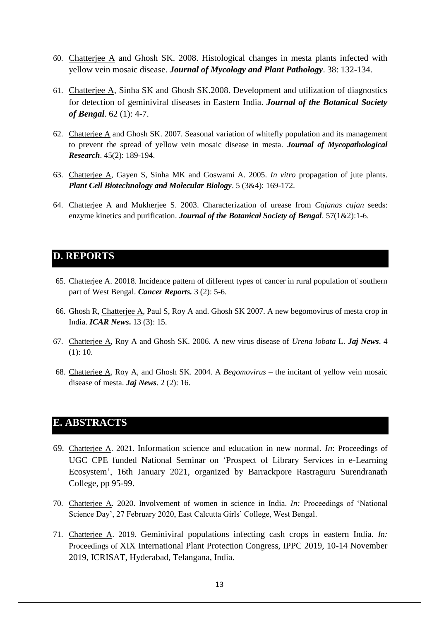- 60. Chatterjee A and Ghosh SK. 2008. Histological changes in mesta plants infected with yellow vein mosaic disease. *Journal of Mycology and Plant Pathology*. 38: 132-134.
- 61. Chatterjee A, Sinha SK and Ghosh SK.2008. Development and utilization of diagnostics for detection of geminiviral diseases in Eastern India. *Journal of the Botanical Society of Bengal*. 62 (1): 4-7.
- 62. Chatterjee A and Ghosh SK. 2007. Seasonal variation of whitefly population and its management to prevent the spread of yellow vein mosaic disease in mesta. *Journal of Mycopathological Research*. 45(2): 189-194.
- 63. Chatterjee A, Gayen S, Sinha MK and Goswami A. 2005. *In vitro* propagation of jute plants. *Plant Cell Biotechnology and Molecular Biology*. 5 (3&4): 169-172.
- 64. Chatterjee A and Mukherjee S. 2003. Characterization of urease from *Cajanas cajan* seeds: enzyme kinetics and purification. *Journal of the Botanical Society of Bengal*. 57(1&2):1-6.

#### **D. REPORTS**

- 65. Chatterjee A. 20018. Incidence pattern of different types of cancer in rural population of southern part of West Bengal. *Cancer Reports.* 3 (2): 5-6.
- 66. Ghosh R, Chatterjee A, Paul S, Roy A and. Ghosh SK 2007. A new begomovirus of mesta crop in India. *ICAR News***.** 13 (3): 15.
- 67. Chatterjee A, Roy A and Ghosh SK. 2006. A new virus disease of *Urena lobata* L. *Jaj News*. 4 (1): 10.
- 68. Chatterjee A, Roy A, and Ghosh SK. 2004. A *Begomovirus* the incitant of yellow vein mosaic disease of mesta. *Jaj News*. 2 (2): 16.

#### **E. ABSTRACTS**

- 69. Chatterjee A. 2021. Information science and education in new normal. *In*: Proceedings of UGC CPE funded National Seminar on 'Prospect of Library Services in e-Learning Ecosystem', 16th January 2021, organized by Barrackpore Rastraguru Surendranath College, pp 95-99.
- 70. Chatterjee A. 2020. Involvement of women in science in India. *In:* Proceedings of 'National Science Day', 27 February 2020, East Calcutta Girls' College, West Bengal.
- 71. Chatterjee A. 2019. Geminiviral populations infecting cash crops in eastern India. *In:* Proceedings of XIX International Plant Protection Congress, IPPC 2019, 10-14 November 2019, ICRISAT, Hyderabad, Telangana, India.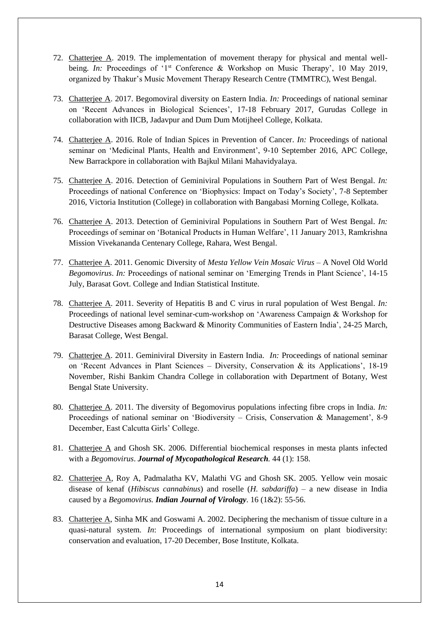- 72. Chatterjee A. 2019. The implementation of movement therapy for physical and mental wellbeing. *In:* Proceedings of '1<sup>st</sup> Conference & Workshop on Music Therapy', 10 May 2019, organized by Thakur's Music Movement Therapy Research Centre (TMMTRC), West Bengal.
- 73. Chatterjee A. 2017. Begomoviral diversity on Eastern India. *In:* Proceedings of national seminar on 'Recent Advances in Biological Sciences', 17-18 February 2017, Gurudas College in collaboration with IICB, Jadavpur and Dum Dum Motijheel College, Kolkata.
- 74. Chatterjee A. 2016. Role of Indian Spices in Prevention of Cancer. *In:* Proceedings of national seminar on 'Medicinal Plants, Health and Environment', 9-10 September 2016, APC College, New Barrackpore in collaboration with Bajkul Milani Mahavidyalaya.
- 75. Chatterjee A. 2016. Detection of Geminiviral Populations in Southern Part of West Bengal. *In:*  Proceedings of national Conference on 'Biophysics: Impact on Today's Society', 7-8 September 2016, Victoria Institution (College) in collaboration with Bangabasi Morning College, Kolkata.
- 76. Chatterjee A. 2013. Detection of Geminiviral Populations in Southern Part of West Bengal. *In:*  Proceedings of seminar on 'Botanical Products in Human Welfare', 11 January 2013, Ramkrishna Mission Vivekananda Centenary College, Rahara, West Bengal.
- 77. Chatterjee A. 2011. Genomic Diversity of *Mesta Yellow Vein Mosaic Virus* A Novel Old World *Begomovirus*. *In:* Proceedings of national seminar on 'Emerging Trends in Plant Science', 14-15 July, Barasat Govt. College and Indian Statistical Institute.
- 78. Chatterjee A. 2011. Severity of Hepatitis B and C virus in rural population of West Bengal. *In:* Proceedings of national level seminar-cum-workshop on 'Awareness Campaign & Workshop for Destructive Diseases among Backward & Minority Communities of Eastern India', 24-25 March, Barasat College, West Bengal.
- 79. Chatterjee A. 2011. Geminiviral Diversity in Eastern India. *In:* Proceedings of national seminar on 'Recent Advances in Plant Sciences – Diversity, Conservation & its Applications', 18-19 November, Rishi Bankim Chandra College in collaboration with Department of Botany, West Bengal State University.
- 80. Chatterjee A. 2011. The diversity of Begomovirus populations infecting fibre crops in India. *In:*  Proceedings of national seminar on 'Biodiversity – Crisis, Conservation & Management', 8-9 December, East Calcutta Girls' College.
- 81. Chatterjee A and Ghosh SK. 2006. Differential biochemical responses in mesta plants infected with a *Begomovirus*. *Journal of Mycopathological Research.* 44 (1): 158.
- 82. Chatterjee A, Roy A, Padmalatha KV, Malathi VG and Ghosh SK. 2005. Yellow vein mosaic disease of kenaf (*Hibiscus cannabinus*) and roselle (*H. sabdariffa*) – a new disease in India caused by a *Begomovirus. Indian Journal of Virology.* 16 (1&2): 55-56.
- 83. Chatterjee A, Sinha MK and Goswami A. 2002. Deciphering the mechanism of tissue culture in a quasi-natural system. *In*: Proceedings of international symposium on plant biodiversity: conservation and evaluation, 17-20 December, Bose Institute, Kolkata.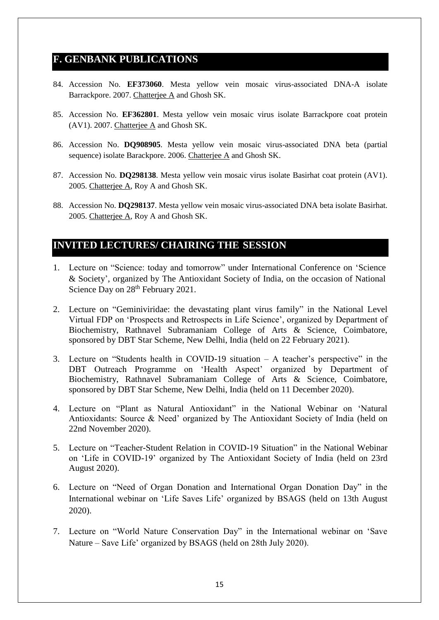### **F. GENBANK PUBLICATIONS**

- 84. Accession No. **EF373060**. Mesta yellow vein mosaic virus-associated DNA-A isolate Barrackpore. 2007. Chatterjee A and Ghosh SK.
- 85. Accession No. **EF362801**. Mesta yellow vein mosaic virus isolate Barrackpore coat protein (AV1). 2007. Chatterjee A and Ghosh SK.
- 86. Accession No. **DQ908905**. Mesta yellow vein mosaic virus-associated DNA beta (partial sequence) isolate Barackpore. 2006. Chatterjee A and Ghosh SK.
- 87. Accession No. **DQ298138**. Mesta yellow vein mosaic virus isolate Basirhat coat protein (AV1). 2005. Chatterjee A, Roy A and Ghosh SK.
- 88. Accession No. **DQ298137**. Mesta yellow vein mosaic virus-associated DNA beta isolate Basirhat. 2005. Chatterjee A, Roy A and Ghosh SK.

# **INVITED LECTURES/ CHAIRING THE SESSION**

- 1. Lecture on "Science: today and tomorrow" under International Conference on 'Science & Society', organized by The Antioxidant Society of India, on the occasion of National Science Day on  $28<sup>th</sup>$  February 2021.
- 2. Lecture on "Geminiviridae: the devastating plant virus family" in the National Level Virtual FDP on 'Prospects and Retrospects in Life Science', organized by Department of Biochemistry, Rathnavel Subramaniam College of Arts & Science, Coimbatore, sponsored by DBT Star Scheme, New Delhi, India (held on 22 February 2021).
- 3. Lecture on "Students health in COVID-19 situation A teacher's perspective" in the DBT Outreach Programme on 'Health Aspect' organized by Department of Biochemistry, Rathnavel Subramaniam College of Arts & Science, Coimbatore, sponsored by DBT Star Scheme, New Delhi, India (held on 11 December 2020).
- 4. Lecture on "Plant as Natural Antioxidant" in the National Webinar on 'Natural Antioxidants: Source & Need' organized by The Antioxidant Society of India (held on 22nd November 2020).
- 5. Lecture on "Teacher-Student Relation in COVID-19 Situation" in the National Webinar on 'Life in COVID-19' organized by The Antioxidant Society of India (held on 23rd August 2020).
- 6. Lecture on "Need of Organ Donation and International Organ Donation Day" in the International webinar on 'Life Saves Life' organized by BSAGS (held on 13th August 2020).
- 7. Lecture on "World Nature Conservation Day" in the International webinar on 'Save Nature – Save Life' organized by BSAGS (held on 28th July 2020).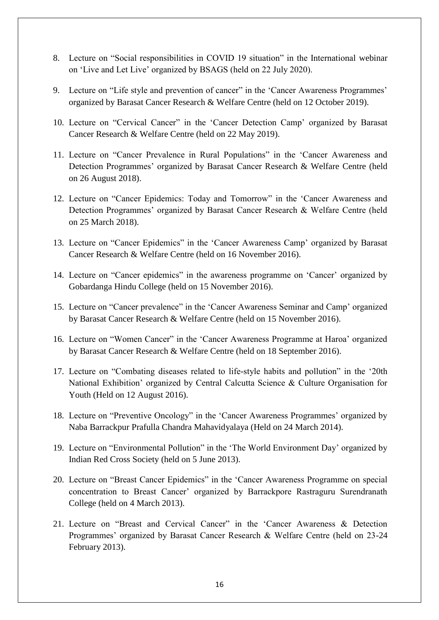- 8. Lecture on "Social responsibilities in COVID 19 situation" in the International webinar on 'Live and Let Live' organized by BSAGS (held on 22 July 2020).
- 9. Lecture on "Life style and prevention of cancer" in the 'Cancer Awareness Programmes' organized by Barasat Cancer Research & Welfare Centre (held on 12 October 2019).
- 10. Lecture on "Cervical Cancer" in the 'Cancer Detection Camp' organized by Barasat Cancer Research & Welfare Centre (held on 22 May 2019).
- 11. Lecture on "Cancer Prevalence in Rural Populations" in the 'Cancer Awareness and Detection Programmes' organized by Barasat Cancer Research & Welfare Centre (held on 26 August 2018).
- 12. Lecture on "Cancer Epidemics: Today and Tomorrow" in the 'Cancer Awareness and Detection Programmes' organized by Barasat Cancer Research & Welfare Centre (held on 25 March 2018).
- 13. Lecture on "Cancer Epidemics" in the 'Cancer Awareness Camp' organized by Barasat Cancer Research & Welfare Centre (held on 16 November 2016).
- 14. Lecture on "Cancer epidemics" in the awareness programme on 'Cancer' organized by Gobardanga Hindu College (held on 15 November 2016).
- 15. Lecture on "Cancer prevalence" in the 'Cancer Awareness Seminar and Camp' organized by Barasat Cancer Research & Welfare Centre (held on 15 November 2016).
- 16. Lecture on "Women Cancer" in the 'Cancer Awareness Programme at Haroa' organized by Barasat Cancer Research & Welfare Centre (held on 18 September 2016).
- 17. Lecture on "Combating diseases related to life-style habits and pollution" in the '20th National Exhibition' organized by Central Calcutta Science & Culture Organisation for Youth (Held on 12 August 2016).
- 18. Lecture on "Preventive Oncology" in the 'Cancer Awareness Programmes' organized by Naba Barrackpur Prafulla Chandra Mahavidyalaya (Held on 24 March 2014).
- 19. Lecture on "Environmental Pollution" in the 'The World Environment Day' organized by Indian Red Cross Society (held on 5 June 2013).
- 20. Lecture on "Breast Cancer Epidemics" in the 'Cancer Awareness Programme on special concentration to Breast Cancer' organized by Barrackpore Rastraguru Surendranath College (held on 4 March 2013).
- 21. Lecture on "Breast and Cervical Cancer" in the 'Cancer Awareness & Detection Programmes' organized by Barasat Cancer Research & Welfare Centre (held on 23-24 February 2013).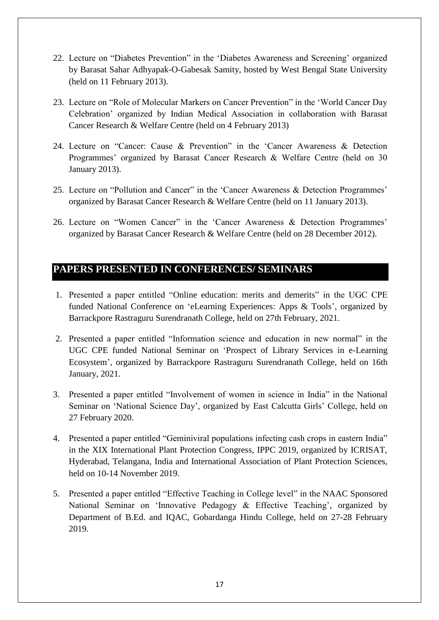- 22. Lecture on "Diabetes Prevention" in the 'Diabetes Awareness and Screening' organized by Barasat Sahar Adhyapak-O-Gabesak Samity, hosted by West Bengal State University (held on 11 February 2013).
- 23. Lecture on "Role of Molecular Markers on Cancer Prevention" in the 'World Cancer Day Celebration' organized by Indian Medical Association in collaboration with Barasat Cancer Research & Welfare Centre (held on 4 February 2013)
- 24. Lecture on "Cancer: Cause & Prevention" in the 'Cancer Awareness & Detection Programmes' organized by Barasat Cancer Research & Welfare Centre (held on 30 January 2013).
- 25. Lecture on "Pollution and Cancer" in the 'Cancer Awareness & Detection Programmes' organized by Barasat Cancer Research & Welfare Centre (held on 11 January 2013).
- 26. Lecture on "Women Cancer" in the 'Cancer Awareness & Detection Programmes' organized by Barasat Cancer Research & Welfare Centre (held on 28 December 2012).

# **PAPERS PRESENTED IN CONFERENCES/ SEMINARS**

- 1. Presented a paper entitled "Online education: merits and demerits" in the UGC CPE funded National Conference on 'eLearning Experiences: Apps & Tools', organized by Barrackpore Rastraguru Surendranath College, held on 27th February, 2021.
- 2. Presented a paper entitled "Information science and education in new normal" in the UGC CPE funded National Seminar on 'Prospect of Library Services in e-Learning Ecosystem', organized by Barrackpore Rastraguru Surendranath College, held on 16th January, 2021.
- 3. Presented a paper entitled "Involvement of women in science in India" in the National Seminar on 'National Science Day', organized by East Calcutta Girls' College, held on 27 February 2020.
- 4. Presented a paper entitled "Geminiviral populations infecting cash crops in eastern India" in the XIX International Plant Protection Congress, IPPC 2019, organized by ICRISAT, Hyderabad, Telangana, India and International Association of Plant Protection Sciences, held on 10-14 November 2019.
- 5. Presented a paper entitled "Effective Teaching in College level" in the NAAC Sponsored National Seminar on 'Innovative Pedagogy & Effective Teaching', organized by Department of B.Ed. and IQAC, Gobardanga Hindu College, held on 27-28 February 2019.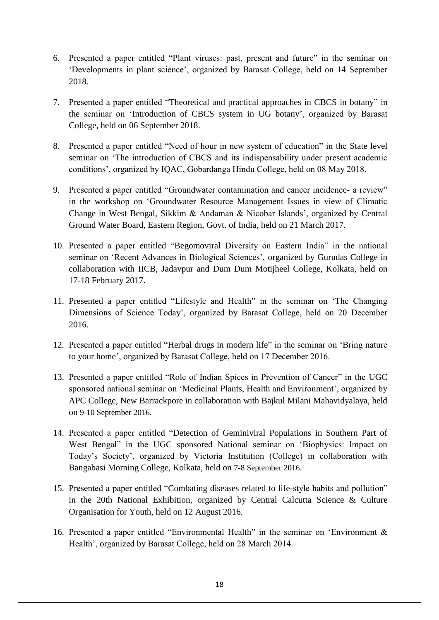- 6. Presented a paper entitled "Plant viruses: past, present and future" in the seminar on 'Developments in plant science', organized by Barasat College, held on 14 September 2018.
- 7. Presented a paper entitled "Theoretical and practical approaches in CBCS in botany" in the seminar on 'Introduction of CBCS system in UG botany', organized by Barasat College, held on 06 September 2018.
- 8. Presented a paper entitled "Need of hour in new system of education" in the State level seminar on 'The introduction of CBCS and its indispensability under present academic conditions', organized by IQAC, Gobardanga Hindu College, held on 08 May 2018.
- 9. Presented a paper entitled "Groundwater contamination and cancer incidence- a review" in the workshop on 'Groundwater Resource Management Issues in view of Climatic Change in West Bengal, Sikkim & Andaman & Nicobar Islands', organized by Central Ground Water Board, Eastern Region, Govt. of India, held on 21 March 2017.
- 10. Presented a paper entitled "Begomoviral Diversity on Eastern India" in the national seminar on 'Recent Advances in Biological Sciences', organized by Gurudas College in collaboration with IICB, Jadavpur and Dum Dum Motijheel College, Kolkata, held on 17-18 February 2017.
- 11. Presented a paper entitled "Lifestyle and Health" in the seminar on 'The Changing Dimensions of Science Today', organized by Barasat College, held on 20 December 2016.
- 12. Presented a paper entitled "Herbal drugs in modern life" in the seminar on 'Bring nature to your home', organized by Barasat College, held on 17 December 2016.
- 13. Presented a paper entitled "Role of Indian Spices in Prevention of Cancer" in the UGC sponsored national seminar on 'Medicinal Plants, Health and Environment', organized by APC College, New Barrackpore in collaboration with Bajkul Milani Mahavidyalaya, held on 9-10 September 2016.
- 14. Presented a paper entitled "Detection of Geminiviral Populations in Southern Part of West Bengal" in the UGC sponsored National seminar on 'Biophysics: Impact on Today's Society', organized by Victoria Institution (College) in collaboration with Bangabasi Morning College, Kolkata, held on 7-8 September 2016.
- 15. Presented a paper entitled "Combating diseases related to life-style habits and pollution" in the 20th National Exhibition, organized by Central Calcutta Science & Culture Organisation for Youth, held on 12 August 2016.
- 16. Presented a paper entitled "Environmental Health" in the seminar on 'Environment & Health', organized by Barasat College, held on 28 March 2014.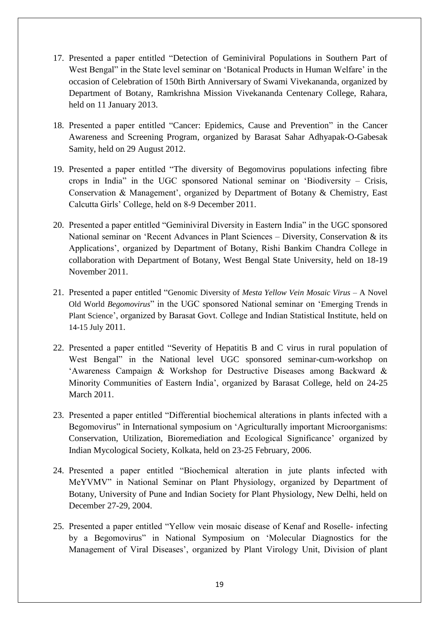- 17. Presented a paper entitled "Detection of Geminiviral Populations in Southern Part of West Bengal" in the State level seminar on 'Botanical Products in Human Welfare' in the occasion of Celebration of 150th Birth Anniversary of Swami Vivekananda, organized by Department of Botany, Ramkrishna Mission Vivekananda Centenary College, Rahara, held on 11 January 2013.
- 18. Presented a paper entitled "Cancer: Epidemics, Cause and Prevention" in the Cancer Awareness and Screening Program, organized by Barasat Sahar Adhyapak-O-Gabesak Samity, held on 29 August 2012.
- 19. Presented a paper entitled "The diversity of Begomovirus populations infecting fibre crops in India" in the UGC sponsored National seminar on 'Biodiversity – Crisis, Conservation & Management', organized by Department of Botany & Chemistry, East Calcutta Girls' College, held on 8-9 December 2011.
- 20. Presented a paper entitled "Geminiviral Diversity in Eastern India" in the UGC sponsored National seminar on 'Recent Advances in Plant Sciences – Diversity, Conservation & its Applications', organized by Department of Botany, Rishi Bankim Chandra College in collaboration with Department of Botany, West Bengal State University, held on 18-19 November 2011.
- 21. Presented a paper entitled "Genomic Diversity of *Mesta Yellow Vein Mosaic Virus* A Novel Old World *Begomovirus*" in the UGC sponsored National seminar on 'Emerging Trends in Plant Science', organized by Barasat Govt. College and Indian Statistical Institute, held on 14-15 July 2011.
- 22. Presented a paper entitled "Severity of Hepatitis B and C virus in rural population of West Bengal" in the National level UGC sponsored seminar-cum-workshop on 'Awareness Campaign & Workshop for Destructive Diseases among Backward & Minority Communities of Eastern India', organized by Barasat College, held on 24-25 March 2011.
- 23. Presented a paper entitled "Differential biochemical alterations in plants infected with a Begomovirus" in International symposium on 'Agriculturally important Microorganisms: Conservation, Utilization, Bioremediation and Ecological Significance' organized by Indian Mycological Society, Kolkata, held on 23-25 February, 2006.
- 24. Presented a paper entitled "Biochemical alteration in jute plants infected with MeYVMV" in National Seminar on Plant Physiology, organized by Department of Botany, University of Pune and Indian Society for Plant Physiology, New Delhi, held on December 27-29, 2004.
- 25. Presented a paper entitled "Yellow vein mosaic disease of Kenaf and Roselle- infecting by a Begomovirus" in National Symposium on 'Molecular Diagnostics for the Management of Viral Diseases', organized by Plant Virology Unit, Division of plant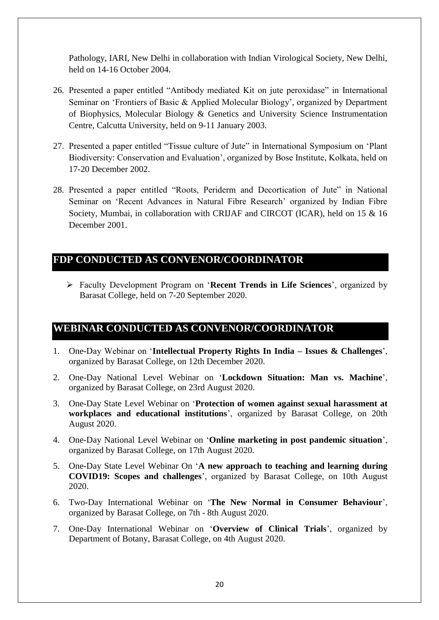Pathology, IARI, New Delhi in collaboration with Indian Virological Society, New Delhi, held on 14-16 October 2004.

- 26. Presented a paper entitled "Antibody mediated Kit on jute peroxidase" in International Seminar on 'Frontiers of Basic & Applied Molecular Biology', organized by Department of Biophysics, Molecular Biology & Genetics and University Science Instrumentation Centre, Calcutta University, held on 9-11 January 2003.
- 27. Presented a paper entitled "Tissue culture of Jute" in International Symposium on 'Plant Biodiversity: Conservation and Evaluation', organized by Bose Institute, Kolkata, held on 17-20 December 2002.
- 28. Presented a paper entitled "Roots, Periderm and Decortication of Jute" in National Seminar on 'Recent Advances in Natural Fibre Research' organized by Indian Fibre Society, Mumbai, in collaboration with CRIJAF and CIRCOT (ICAR), held on 15 & 16 December 2001.

## **FDP CONDUCTED AS CONVENOR/COORDINATOR**

 Faculty Development Program on '**Recent Trends in Life Sciences**', organized by Barasat College, held on 7-20 September 2020.

# **WEBINAR CONDUCTED AS CONVENOR/COORDINATOR**

- 1. One-Day Webinar on '**Intellectual Property Rights In India – Issues & Challenges**', organized by Barasat College, on 12th December 2020.
- 2. One-Day National Level Webinar on '**Lockdown Situation: Man vs. Machine**', organized by Barasat College, on 23rd August 2020.
- 3. One-Day State Level Webinar on '**Protection of women against sexual harassment at workplaces and educational institutions**', organized by Barasat College, on 20th August 2020.
- 4. One-Day National Level Webinar on '**Online marketing in post pandemic situation**', organized by Barasat College, on 17th August 2020.
- 5. One-Day State Level Webinar On '**A new approach to teaching and learning during COVID19: Scopes and challenges**', organized by Barasat College, on 10th August 2020.
- 6. Two-Day International Webinar on '**The New Normal in Consumer Behaviour**', organized by Barasat College, on 7th - 8th August 2020.
- 7. One-Day International Webinar on '**Overview of Clinical Trials**', organized by Department of Botany, Barasat College, on 4th August 2020.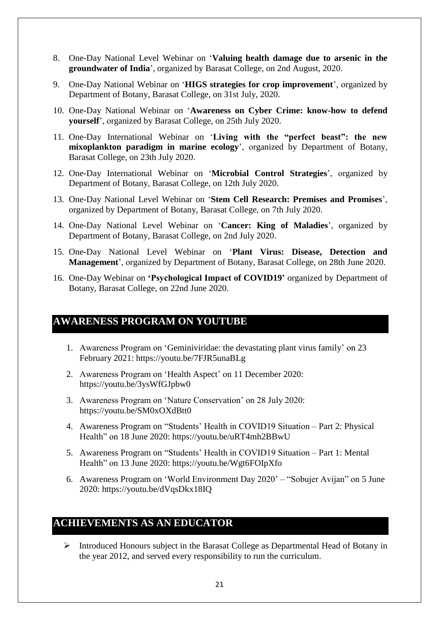- 8. One-Day National Level Webinar on '**Valuing health damage due to arsenic in the groundwater of India**', organized by Barasat College, on 2nd August, 2020.
- 9. One-Day National Webinar on '**HIGS strategies for crop improvement**', organized by Department of Botany, Barasat College, on 31st July, 2020.
- 10. One-Day National Webinar on '**Awareness on Cyber Crime: know-how to defend yourself**', organized by Barasat College, on 25th July 2020.
- 11. One-Day International Webinar on '**Living with the "perfect beast": the new mixoplankton paradigm in marine ecology**', organized by Department of Botany, Barasat College, on 23th July 2020.
- 12. One-Day International Webinar on '**Microbial Control Strategies**', organized by Department of Botany, Barasat College, on 12th July 2020.
- 13. One-Day National Level Webinar on '**Stem Cell Research: Premises and Promises**', organized by Department of Botany, Barasat College, on 7th July 2020.
- 14. One-Day National Level Webinar on '**Cancer: King of Maladies**', organized by Department of Botany, Barasat College, on 2nd July 2020.
- 15. One-Day National Level Webinar on '**Plant Virus: Disease, Detection and Management**', organized by Department of Botany, Barasat College, on 28th June 2020.
- 16. One-Day Webinar on **'Psychological Impact of COVID19'** organized by Department of Botany, Barasat College, on 22nd June 2020.

## **AWARENESS PROGRAM ON YOUTUBE**

- 1. Awareness Program on 'Geminiviridae: the devastating plant virus family' on 23 February 2021: https://youtu.be/7FJR5unaBLg
- 2. Awareness Program on 'Health Aspect' on 11 December 2020: https://youtu.be/3ysWfGJpbw0
- 3. Awareness Program on 'Nature Conservation' on 28 July 2020: https://youtu.be/SM0xOXdBtt0
- 4. Awareness Program on "Students' Health in COVID19 Situation Part 2: Physical Health" on 18 June 2020: https://youtu.be/uRT4mh2BBwU
- 5. Awareness Program on "Students' Health in COVID19 Situation Part 1: Mental Health" on 13 June 2020: https://youtu.be/Wgt6FOIpXfo
- 6. Awareness Program on 'World Environment Day 2020' "Sobujer Avijan" on 5 June 2020: https://youtu.be/dVqsDkx18IQ

## **ACHIEVEMENTS AS AN EDUCATOR**

 Introduced Honours subject in the Barasat College as Departmental Head of Botany in the year 2012, and served every responsibility to run the curriculum.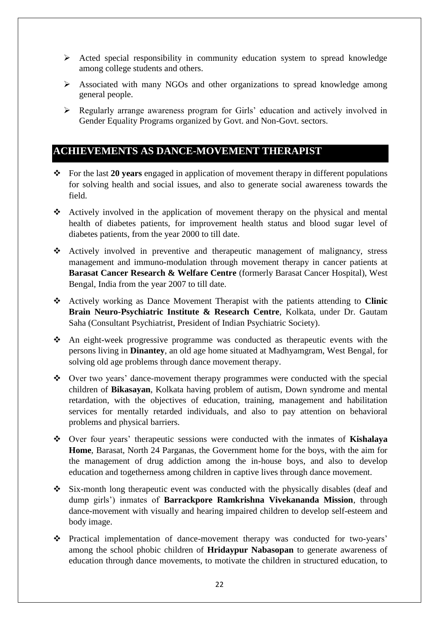- $\triangleright$  Acted special responsibility in community education system to spread knowledge among college students and others.
- Associated with many NGOs and other organizations to spread knowledge among general people.
- Regularly arrange awareness program for Girls' education and actively involved in Gender Equality Programs organized by Govt. and Non-Govt. sectors.

## **ACHIEVEMENTS AS DANCE-MOVEMENT THERAPIST**

- For the last **20 years** engaged in application of movement therapy in different populations for solving health and social issues, and also to generate social awareness towards the field.
- Actively involved in the application of movement therapy on the physical and mental health of diabetes patients, for improvement health status and blood sugar level of diabetes patients, from the year 2000 to till date.
- Actively involved in preventive and therapeutic management of malignancy, stress management and immuno-modulation through movement therapy in cancer patients at **Barasat Cancer Research & Welfare Centre** (formerly Barasat Cancer Hospital), West Bengal, India from the year 2007 to till date.
- Actively working as Dance Movement Therapist with the patients attending to **Clinic Brain Neuro-Psychiatric Institute & Research Centre**, Kolkata, under Dr. Gautam Saha (Consultant Psychiatrist, President of Indian Psychiatric Society).
- An eight-week progressive programme was conducted as therapeutic events with the persons living in **Dinantey**, an old age home situated at Madhyamgram, West Bengal, for solving old age problems through dance movement therapy.
- Over two years' dance-movement therapy programmes were conducted with the special children of **Bikasayan**, Kolkata having problem of autism, Down syndrome and mental retardation, with the objectives of education, training, management and habilitation services for mentally retarded individuals, and also to pay attention on behavioral problems and physical barriers.
- Over four years' therapeutic sessions were conducted with the inmates of **Kishalaya Home**, Barasat, North 24 Parganas, the Government home for the boys, with the aim for the management of drug addiction among the in-house boys, and also to develop education and togetherness among children in captive lives through dance movement.
- $\div$  Six-month long therapeutic event was conducted with the physically disables (deaf and dump girls') inmates of **Barrackpore Ramkrishna Vivekananda Mission**, through dance-movement with visually and hearing impaired children to develop self-esteem and body image.
- Practical implementation of dance-movement therapy was conducted for two-years' among the school phobic children of **Hridaypur Nabasopan** to generate awareness of education through dance movements, to motivate the children in structured education, to